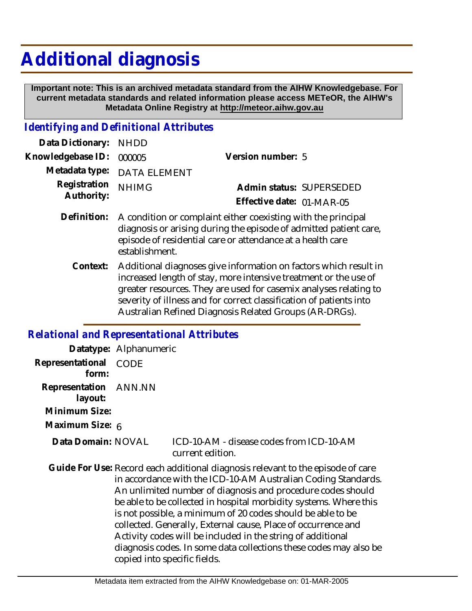# **Additional diagnosis**

 **Important note: This is an archived metadata standard from the AIHW Knowledgebase. For current metadata standards and related information please access METeOR, the AIHW's Metadata Online Registry at http://meteor.aihw.gov.au**

### *Identifying and Definitional Attributes*

| Data Dictionary: NHDD    |                             |                           |                          |
|--------------------------|-----------------------------|---------------------------|--------------------------|
| Knowledgebase ID: 000005 |                             | Version number: 5         |                          |
|                          | Metadata type: DATA ELEMENT |                           |                          |
| Registration NHIMG       |                             |                           | Admin status: SUPERSEDED |
| Authority:               |                             | Effective date: 01-MAR-05 |                          |
|                          |                             |                           |                          |

- Definition: A condition or complaint either coexisting with the principal diagnosis or arising during the episode of admitted patient care, episode of residential care or attendance at a health care establishment.
	- Context: Additional diagnoses give information on factors which result in increased length of stay, more intensive treatment or the use of greater resources. They are used for casemix analyses relating to severity of illness and for correct classification of patients into Australian Refined Diagnosis Related Groups (AR-DRGs).

## *Relational and Representational Attributes*

|                                                   | Datatype: Alphanumeric       |                                                                                                                                                                                                                                                                                                                                                                                                                                                                                                                                                          |
|---------------------------------------------------|------------------------------|----------------------------------------------------------------------------------------------------------------------------------------------------------------------------------------------------------------------------------------------------------------------------------------------------------------------------------------------------------------------------------------------------------------------------------------------------------------------------------------------------------------------------------------------------------|
| Representational<br>form:                         | <b>CODE</b>                  |                                                                                                                                                                                                                                                                                                                                                                                                                                                                                                                                                          |
| Representation ANN.NN<br>layout:<br>Minimum Size: |                              |                                                                                                                                                                                                                                                                                                                                                                                                                                                                                                                                                          |
| Maximum Size: 6                                   |                              |                                                                                                                                                                                                                                                                                                                                                                                                                                                                                                                                                          |
| Data Domain: NOVAL                                |                              | ICD-10-AM - disease codes from ICD-10-AM<br>current edition.                                                                                                                                                                                                                                                                                                                                                                                                                                                                                             |
|                                                   | copied into specific fields. | Guide For Use: Record each additional diagnosis relevant to the episode of care<br>in accordance with the ICD-10-AM Australian Coding Standards.<br>An unlimited number of diagnosis and procedure codes should<br>be able to be collected in hospital morbidity systems. Where this<br>is not possible, a minimum of 20 codes should be able to be<br>collected. Generally, External cause, Place of occurrence and<br>Activity codes will be included in the string of additional<br>diagnosis codes. In some data collections these codes may also be |